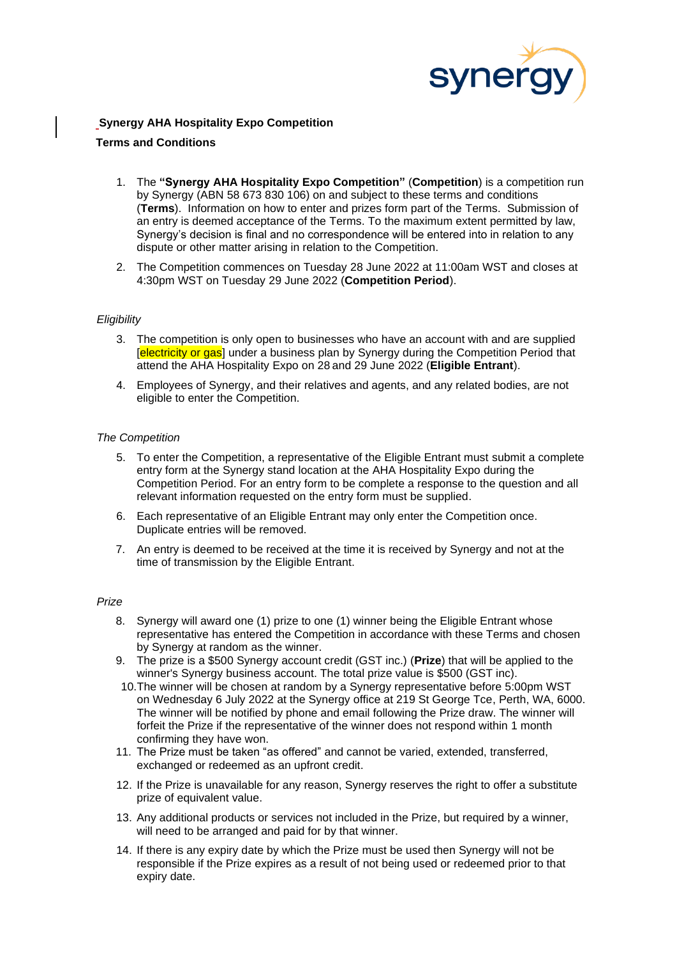

# **Synergy AHA Hospitality Expo Competition**

## **Terms and Conditions**

- 1. The **"Synergy AHA Hospitality Expo Competition"** (**Competition**) is a competition run by Synergy (ABN 58 673 830 106) on and subject to these terms and conditions (**Terms**). Information on how to enter and prizes form part of the Terms. Submission of an entry is deemed acceptance of the Terms. To the maximum extent permitted by law, Synergy's decision is final and no correspondence will be entered into in relation to any dispute or other matter arising in relation to the Competition.
- 2. The Competition commences on Tuesday 28 June 2022 at 11:00am WST and closes at 4:30pm WST on Tuesday 29 June 2022 (**Competition Period**).

### *Eligibility*

- 3. The competition is only open to businesses who have an account with and are supplied [electricity or gas] under a business plan by Synergy during the Competition Period that attend the AHA Hospitality Expo on 28 and 29 June 2022 (**Eligible Entrant**).
- 4. Employees of Synergy, and their relatives and agents, and any related bodies, are not eligible to enter the Competition.

### *The Competition*

- 5. To enter the Competition, a representative of the Eligible Entrant must submit a complete entry form at the Synergy stand location at the AHA Hospitality Expo during the Competition Period. For an entry form to be complete a response to the question and all relevant information requested on the entry form must be supplied.
- 6. Each representative of an Eligible Entrant may only enter the Competition once. Duplicate entries will be removed.
- 7. An entry is deemed to be received at the time it is received by Synergy and not at the time of transmission by the Eligible Entrant.

#### *Prize*

- 8. Synergy will award one (1) prize to one (1) winner being the Eligible Entrant whose representative has entered the Competition in accordance with these Terms and chosen by Synergy at random as the winner.
- 9. The prize is a \$500 Synergy account credit (GST inc.) (**Prize**) that will be applied to the winner's Synergy business account. The total prize value is \$500 (GST inc).
- 10.The winner will be chosen at random by a Synergy representative before 5:00pm WST on Wednesday 6 July 2022 at the Synergy office at 219 St George Tce, Perth, WA, 6000. The winner will be notified by phone and email following the Prize draw. The winner will forfeit the Prize if the representative of the winner does not respond within 1 month confirming they have won.
- 11. The Prize must be taken "as offered" and cannot be varied, extended, transferred, exchanged or redeemed as an upfront credit.
- 12. If the Prize is unavailable for any reason, Synergy reserves the right to offer a substitute prize of equivalent value.
- 13. Any additional products or services not included in the Prize, but required by a winner, will need to be arranged and paid for by that winner.
- 14. If there is any expiry date by which the Prize must be used then Synergy will not be responsible if the Prize expires as a result of not being used or redeemed prior to that expiry date.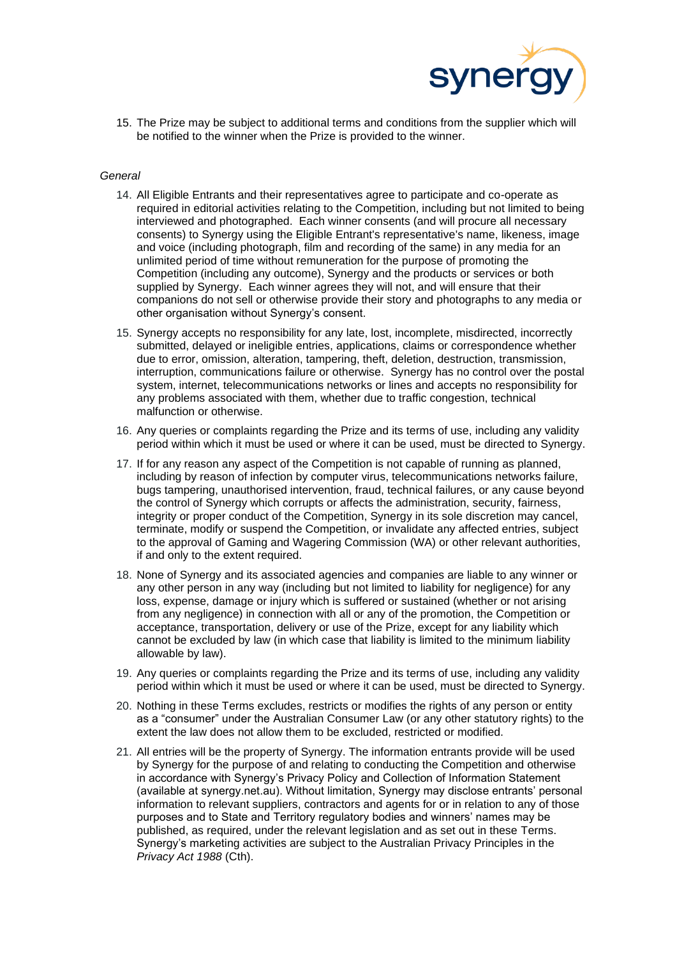

15. The Prize may be subject to additional terms and conditions from the supplier which will be notified to the winner when the Prize is provided to the winner.

#### *General*

- 14. All Eligible Entrants and their representatives agree to participate and co-operate as required in editorial activities relating to the Competition, including but not limited to being interviewed and photographed. Each winner consents (and will procure all necessary consents) to Synergy using the Eligible Entrant's representative's name, likeness, image and voice (including photograph, film and recording of the same) in any media for an unlimited period of time without remuneration for the purpose of promoting the Competition (including any outcome), Synergy and the products or services or both supplied by Synergy. Each winner agrees they will not, and will ensure that their companions do not sell or otherwise provide their story and photographs to any media or other organisation without Synergy's consent.
- 15. Synergy accepts no responsibility for any late, lost, incomplete, misdirected, incorrectly submitted, delayed or ineligible entries, applications, claims or correspondence whether due to error, omission, alteration, tampering, theft, deletion, destruction, transmission, interruption, communications failure or otherwise. Synergy has no control over the postal system, internet, telecommunications networks or lines and accepts no responsibility for any problems associated with them, whether due to traffic congestion, technical malfunction or otherwise.
- 16. Any queries or complaints regarding the Prize and its terms of use, including any validity period within which it must be used or where it can be used, must be directed to Synergy.
- 17. If for any reason any aspect of the Competition is not capable of running as planned, including by reason of infection by computer virus, telecommunications networks failure, bugs tampering, unauthorised intervention, fraud, technical failures, or any cause beyond the control of Synergy which corrupts or affects the administration, security, fairness, integrity or proper conduct of the Competition, Synergy in its sole discretion may cancel, terminate, modify or suspend the Competition, or invalidate any affected entries, subject to the approval of Gaming and Wagering Commission (WA) or other relevant authorities, if and only to the extent required.
- 18. None of Synergy and its associated agencies and companies are liable to any winner or any other person in any way (including but not limited to liability for negligence) for any loss, expense, damage or injury which is suffered or sustained (whether or not arising from any negligence) in connection with all or any of the promotion, the Competition or acceptance, transportation, delivery or use of the Prize, except for any liability which cannot be excluded by law (in which case that liability is limited to the minimum liability allowable by law).
- 19. Any queries or complaints regarding the Prize and its terms of use, including any validity period within which it must be used or where it can be used, must be directed to Synergy.
- 20. Nothing in these Terms excludes, restricts or modifies the rights of any person or entity as a "consumer" under the Australian Consumer Law (or any other statutory rights) to the extent the law does not allow them to be excluded, restricted or modified.
- 21. All entries will be the property of Synergy. The information entrants provide will be used by Synergy for the purpose of and relating to conducting the Competition and otherwise in accordance with Synergy's Privacy Policy and Collection of Information Statement (available at synergy.net.au). Without limitation, Synergy may disclose entrants' personal information to relevant suppliers, contractors and agents for or in relation to any of those purposes and to State and Territory regulatory bodies and winners' names may be published, as required, under the relevant legislation and as set out in these Terms. Synergy's marketing activities are subject to the Australian Privacy Principles in the *Privacy Act 1988* (Cth).